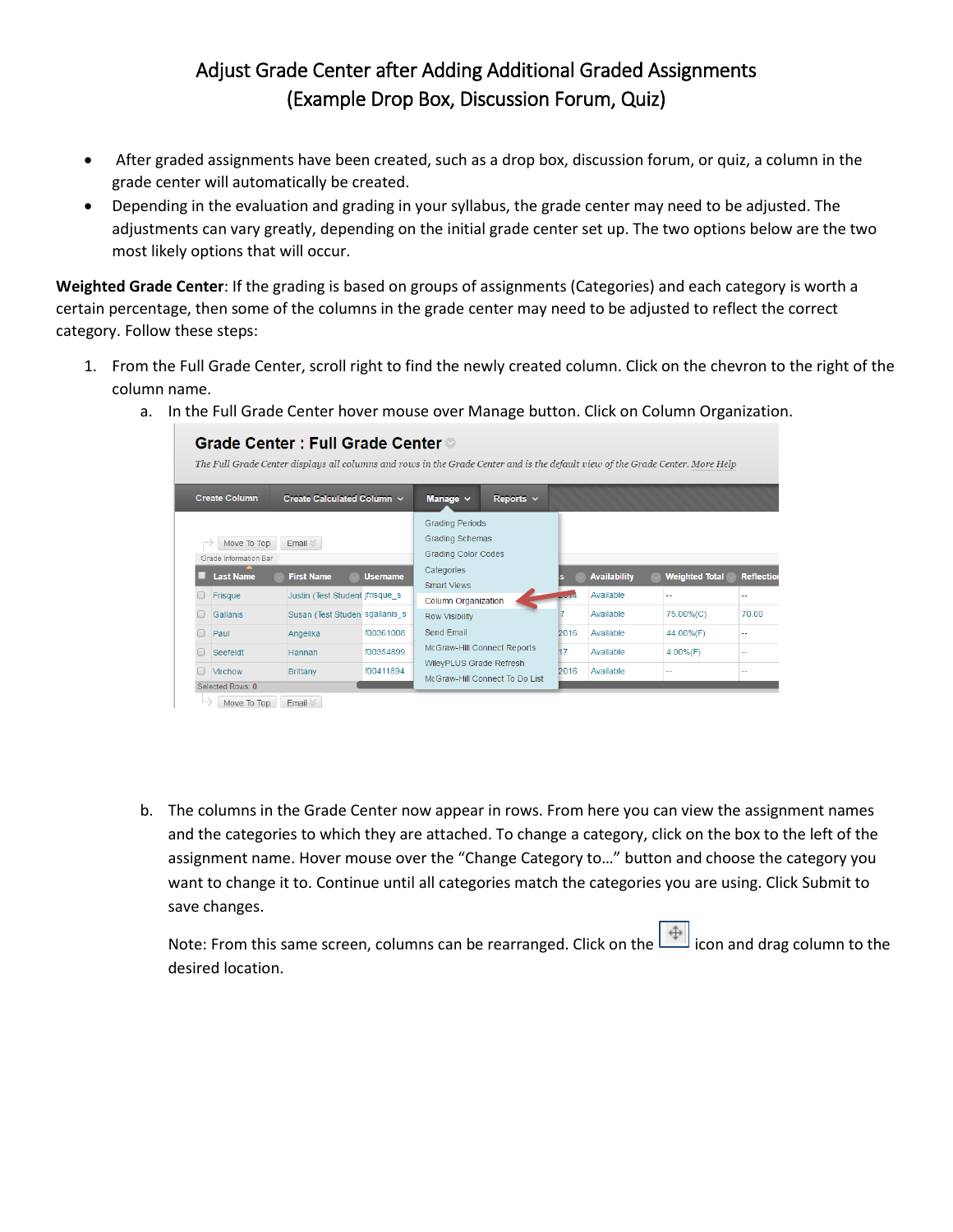## Adjust Grade Center after Adding Additional Graded Assignments (Example Drop Box, Discussion Forum, Quiz)

- After graded assignments have been created, such as a drop box, discussion forum, or quiz, a column in the grade center will automatically be created.
- Depending in the evaluation and grading in your syllabus, the grade center may need to be adjusted. The adjustments can vary greatly, depending on the initial grade center set up. The two options below are the two most likely options that will occur.

**Weighted Grade Center**: If the grading is based on groups of assignments (Categories) and each category is worth a certain percentage, then some of the columns in the grade center may need to be adjusted to reflect the correct category. Follow these steps:

- 1. From the Full Grade Center, scroll right to find the newly created column. Click on the chevron to the right of the column name.
	- a. In the Full Grade Center hover mouse over Manage button. Click on Column Organization.

| Grade Center : Full Grade Center ◎<br>The Full Grade Center displays all columns and rows in the Grade Center and is the default view of the Grade Center. More Help |                                                                    |                        |                                                                                                               |                |                                                                   |                        |                           |              |  |  |
|----------------------------------------------------------------------------------------------------------------------------------------------------------------------|--------------------------------------------------------------------|------------------------|---------------------------------------------------------------------------------------------------------------|----------------|-------------------------------------------------------------------|------------------------|---------------------------|--------------|--|--|
| <b>Create Column</b>                                                                                                                                                 | Create Calculated Column $\sim$                                    |                        | Manage $\sim$                                                                                                 | Reports $\vee$ |                                                                   |                        |                           |              |  |  |
| Move To Top<br>Email <<br><b>Grade Information Bar</b><br><b>Last Name</b><br><b>First Name</b><br><b>Username</b>                                                   |                                                                    |                        | <b>Grading Periods</b><br><b>Grading Schemas</b><br><b>Grading Color Codes</b><br>Categories                  |                | <b>Availability</b><br><b>Weighted Total</b><br><b>Reflection</b> |                        |                           |              |  |  |
| Frisque<br><b>Gallanis</b>                                                                                                                                           | Justin (Test Student jfrisque s)<br>Susan (Test Studen sgallanis s |                        | <b>Smart Views</b><br><b>Column Organization</b><br><b>Row Visibility</b>                                     |                | <b>STATISTICS</b>                                                 | Available<br>Available | --<br>75.00%(C)           | - -<br>70.00 |  |  |
| Paul<br>Seefeldt                                                                                                                                                     | Angelika<br>Hannah                                                 | f00361008<br>f00354899 | <b>Send Email</b><br>McGraw-Hill Connect Reports<br>WileyPLUS Grade Refresh<br>McGraw-Hill Connect To Do List |                | 2016<br>17                                                        | Available<br>Available | 44.00%(F)<br>$4.00\%$ (F) | ш.<br>       |  |  |
| Virchow<br>Selected Rows: 0                                                                                                                                          | <b>Brittany</b>                                                    | f00411894              |                                                                                                               |                | 2016                                                              | Available              | ٠.                        | н.           |  |  |
| Move To Top                                                                                                                                                          | $E$ mail                                                           |                        |                                                                                                               |                |                                                                   |                        |                           |              |  |  |

b. The columns in the Grade Center now appear in rows. From here you can view the assignment names and the categories to which they are attached. To change a category, click on the box to the left of the assignment name. Hover mouse over the "Change Category to…" button and choose the category you want to change it to. Continue until all categories match the categories you are using. Click Submit to save changes.

Note: From this same screen, columns can be rearranged. Click on the  $\left|\bigoplus\limits_{i=1}^{n} \right|$  icon and drag column to the desired location.